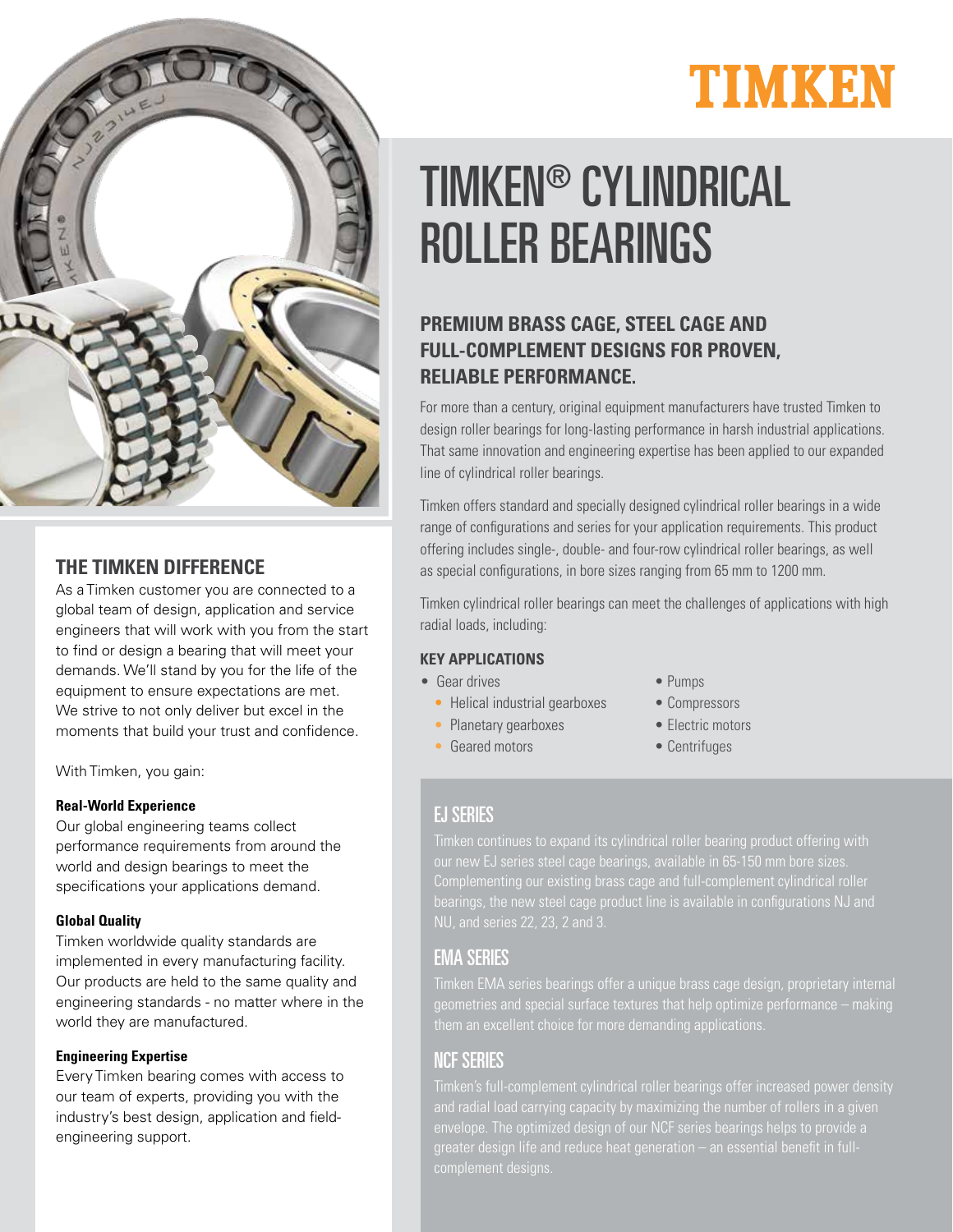

## **THE TIMKEN DIFFERENCE**

As a Timken customer you are connected to a global team of design, application and service engineers that will work with you from the start to find or design a bearing that will meet your demands. We'll stand by you for the life of the equipment to ensure expectations are met. We strive to not only deliver but excel in the moments that build your trust and confidence.

With Timken, you gain:

#### **Real-World Experience**

Our global engineering teams collect performance requirements from around the world and design bearings to meet the specifications your applications demand.

#### **Global Quality**

Timken worldwide quality standards are implemented in every manufacturing facility. Our products are held to the same quality and engineering standards - no matter where in the world they are manufactured.

#### **Engineering Expertise**

Every Timken bearing comes with access to our team of experts, providing you with the industry's best design, application and fieldengineering support.

# TIMKEN

# TIMKEN® CYLINDRICAL ROLLER BEARINGS

# **PREMIUM BRASS CAGE, STEEL CAGE AND FULL-COMPLEMENT DESIGNS FOR PROVEN, RELIABLE PERFORMANCE.**

For more than a century, original equipment manufacturers have trusted Timken to design roller bearings for long-lasting performance in harsh industrial applications. That same innovation and engineering expertise has been applied to our expanded line of cylindrical roller bearings.

Timken offers standard and specially designed cylindrical roller bearings in a wide range of configurations and series for your application requirements. This product offering includes single-, double- and four-row cylindrical roller bearings, as well as special configurations, in bore sizes ranging from 65 mm to 1200 mm.

Timken cylindrical roller bearings can meet the challenges of applications with high radial loads, including:

#### **KEY APPLICATIONS**

- Gear drives Pumps
	- Helical industrial gearboxes Compressors
	- Planetary gearboxes Electric motors
	- Geared motors Centrifuges
- -
	- -

# EJ SERIES

Timken continues to expand its cylindrical roller bearing product offering with

## EMA SERIES

geometries and special surface textures that help optimize performance – making

## NCF SERIES